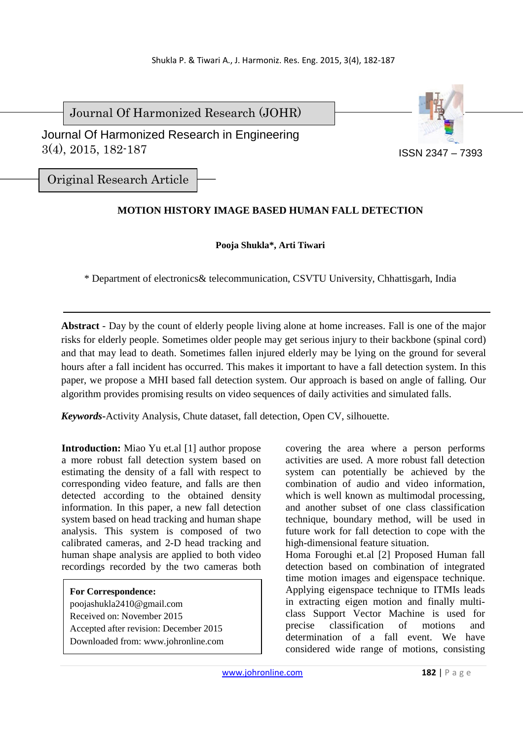Journal Of Harmonized Research (JOHR)



 Journal Of Harmonized Research in Engineering 3(4), 2015, 182-187

Original Research Article

# **MOTION HISTORY IMAGE BASED HUMAN FALL DETECTION**

## **Pooja Shukla\*, Arti Tiwari**

\* Department of electronics& telecommunication, CSVTU University, Chhattisgarh, India

**Abstract** *-* Day by the count of elderly people living alone at home increases. Fall is one of the major risks for elderly people. Sometimes older people may get serious injury to their backbone (spinal cord) and that may lead to death. Sometimes fallen injured elderly may be lying on the ground for several hours after a fall incident has occurred. This makes it important to have a fall detection system. In this paper, we propose a MHI based fall detection system. Our approach is based on angle of falling. Our algorithm provides promising results on video sequences of daily activities and simulated falls.

*Keywords***-**Activity Analysis, Chute dataset, fall detection, Open CV, silhouette.

**Introduction:** Miao Yu et.al [1] author propose a more robust fall detection system based on estimating the density of a fall with respect to corresponding video feature, and falls are then detected according to the obtained density information. In this paper, a new fall detection system based on head tracking and human shape analysis. This system is composed of two calibrated cameras, and 2-D head tracking and human shape analysis are applied to both video recordings recorded by the two cameras both

**For Correspondence:**  poojashukla2410@gmail.com Received on: November 2015 Accepted after revision: December 2015 Downloaded from: www.johronline.com covering the area where a person performs activities are used. A more robust fall detection system can potentially be achieved by the combination of audio and video information, which is well known as multimodal processing. and another subset of one class classification technique, boundary method, will be used in future work for fall detection to cope with the high-dimensional feature situation.

Homa Foroughi et.al [2] Proposed Human fall detection based on combination of integrated time motion images and eigenspace technique. Applying eigenspace technique to ITMIs leads in extracting eigen motion and finally multiclass Support Vector Machine is used for precise classification of motions and determination of a fall event. We have considered wide range of motions, consisting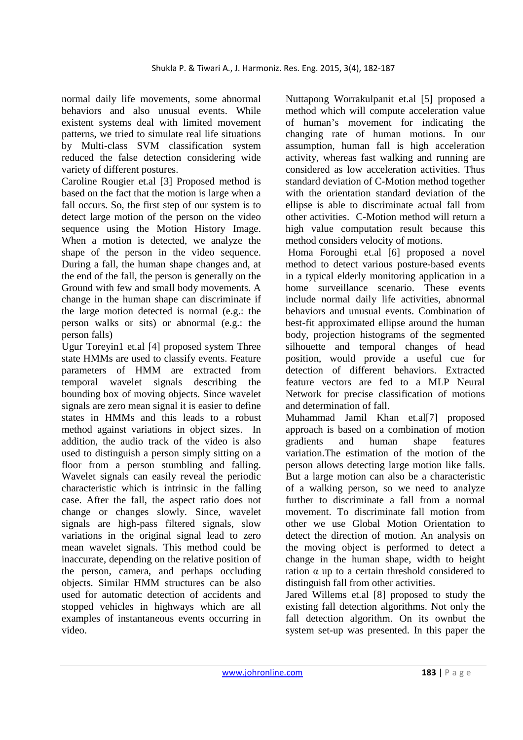normal daily life movements, some abnormal behaviors and also unusual events. While existent systems deal with limited movement patterns, we tried to simulate real life situations by Multi-class SVM classification system reduced the false detection considering wide variety of different postures.

Caroline Rougier et.al [3] Proposed method is based on the fact that the motion is large when a fall occurs. So, the first step of our system is to detect large motion of the person on the video sequence using the Motion History Image. When a motion is detected, we analyze the shape of the person in the video sequence. During a fall, the human shape changes and, at the end of the fall, the person is generally on the Ground with few and small body movements. A change in the human shape can discriminate if the large motion detected is normal (e.g.: the person walks or sits) or abnormal (e.g.: the person falls)

Ugur Toreyin1 et.al [4] proposed system Three state HMMs are used to classify events. Feature parameters of HMM are extracted from temporal wavelet signals describing the bounding box of moving objects. Since wavelet signals are zero mean signal it is easier to define states in HMMs and this leads to a robust method against variations in object sizes. In addition, the audio track of the video is also used to distinguish a person simply sitting on a floor from a person stumbling and falling. Wavelet signals can easily reveal the periodic characteristic which is intrinsic in the falling case. After the fall, the aspect ratio does not change or changes slowly. Since, wavelet signals are high-pass filtered signals, slow variations in the original signal lead to zero mean wavelet signals. This method could be inaccurate, depending on the relative position of the person, camera, and perhaps occluding objects. Similar HMM structures can be also used for automatic detection of accidents and stopped vehicles in highways which are all examples of instantaneous events occurring in video.

Nuttapong Worrakulpanit et.al [5] proposed a method which will compute acceleration value of human's movement for indicating the changing rate of human motions. In our assumption, human fall is high acceleration activity, whereas fast walking and running are considered as low acceleration activities. Thus standard deviation of C-Motion method together with the orientation standard deviation of the ellipse is able to discriminate actual fall from other activities. C-Motion method will return a high value computation result because this method considers velocity of motions.

 Homa Foroughi et.al [6] proposed a novel method to detect various posture-based events in a typical elderly monitoring application in a home surveillance scenario. These events include normal daily life activities, abnormal behaviors and unusual events. Combination of best-fit approximated ellipse around the human body, projection histograms of the segmented silhouette and temporal changes of head position, would provide a useful cue for detection of different behaviors. Extracted feature vectors are fed to a MLP Neural Network for precise classification of motions and determination of fall.

Muhammad Jamil Khan et.al[7] proposed approach is based on a combination of motion gradients and human shape features variation.The estimation of the motion of the person allows detecting large motion like falls. But a large motion can also be a characteristic of a walking person, so we need to analyze further to discriminate a fall from a normal movement. To discriminate fall motion from other we use Global Motion Orientation to detect the direction of motion. An analysis on the moving object is performed to detect a change in the human shape, width to height ration  $\alpha$  up to a certain threshold considered to distinguish fall from other activities.

Jared Willems et.al [8] proposed to study the existing fall detection algorithms. Not only the fall detection algorithm. On its ownbut the system set-up was presented. In this paper the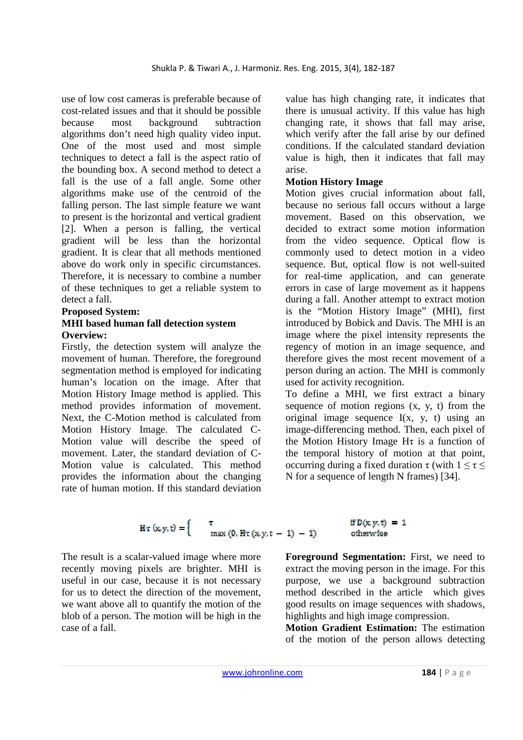use of low cost cameras is preferable because of cost-related issues and that it should be possible because most background subtraction algorithms don't need high quality video input. One of the most used and most simple techniques to detect a fall is the aspect ratio of the bounding box. A second method to detect a fall is the use of a fall angle. Some other algorithms make use of the centroid of the falling person. The last simple feature we want to present is the horizontal and vertical gradient [2]. When a person is falling, the vertical gradient will be less than the horizontal gradient. It is clear that all methods mentioned above do work only in specific circumstances. Therefore, it is necessary to combine a number of these techniques to get a reliable system to detect a fall.

### **Proposed System:**

### **MHI based human fall detection system Overview:**

Firstly, the detection system will analyze the movement of human. Therefore, the foreground segmentation method is employed for indicating human's location on the image. After that Motion History Image method is applied. This method provides information of movement. Next, the C-Motion method is calculated from Motion History Image. The calculated C-Motion value will describe the speed of movement. Later, the standard deviation of C-Motion value is calculated. This method provides the information about the changing rate of human motion. If this standard deviation

value has high changing rate, it indicates that there is unusual activity. If this value has high changing rate, it shows that fall may arise, which verify after the fall arise by our defined conditions. If the calculated standard deviation value is high, then it indicates that fall may arise.

### **Motion History Image**

Motion gives crucial information about fall, because no serious fall occurs without a large movement. Based on this observation, we decided to extract some motion information from the video sequence. Optical flow is commonly used to detect motion in a video sequence. But, optical flow is not well-suited for real-time application, and can generate errors in case of large movement as it happens during a fall. Another attempt to extract motion is the "Motion History Image" (MHI), first introduced by Bobick and Davis. The MHI is an image where the pixel intensity represents the regency of motion in an image sequence, and therefore gives the most recent movement of a person during an action. The MHI is commonly used for activity recognition.

To define a MHI, we first extract a binary sequence of motion regions  $(x, y, t)$  from the original image sequence I(x, y, t) using an image-differencing method. Then, each pixel of the Motion History Image Hτ is a function of the temporal history of motion at that point, occurring during a fixed duration  $\tau$  (with  $1 \leq \tau \leq$ N for a sequence of length N frames) [34].

$$
H\tau(x,y,t) = \begin{cases} \tau & \text{if } D(x,y,t) = 1 \\ \max(0, H\tau(x,y,t-1) - 1) & \text{otherwise} \end{cases}
$$

The result is a scalar-valued image where more recently moving pixels are brighter. MHI is useful in our case, because it is not necessary for us to detect the direction of the movement, we want above all to quantify the motion of the blob of a person. The motion will be high in the case of a fall.

**Foreground Segmentation:** First, we need to extract the moving person in the image. For this purpose, we use a background subtraction method described in the article which gives good results on image sequences with shadows, highlights and high image compression.

**Motion Gradient Estimation:** The estimation of the motion of the person allows detecting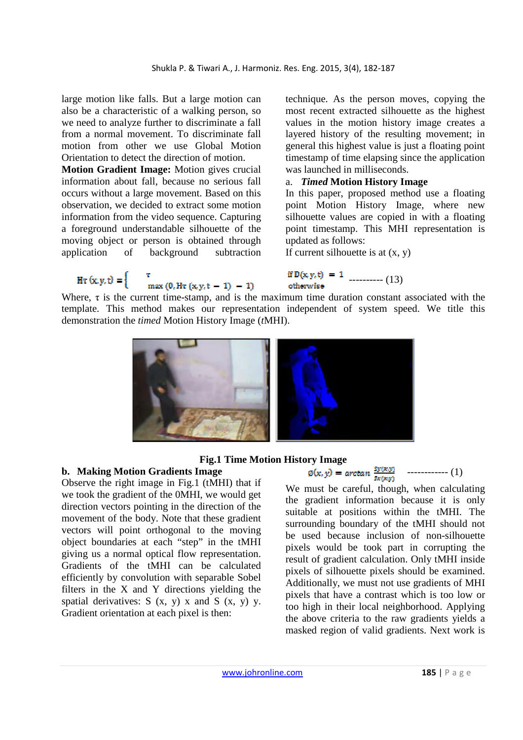large motion like falls. But a large motion can also be a characteristic of a walking person, so we need to analyze further to discriminate a fall from a normal movement. To discriminate fall motion from other we use Global Motion Orientation to detect the direction of motion.

**Motion Gradient Image:** Motion gives crucial information about fall, because no serious fall occurs without a large movement. Based on this observation, we decided to extract some motion information from the video sequence. Capturing a foreground understandable silhouette of the moving object or person is obtained through application of background subtraction

technique. As the person moves, copying the most recent extracted silhouette as the highest values in the motion history image creates a layered history of the resulting movement; in general this highest value is just a floating point timestamp of time elapsing since the application was launched in milliseconds.

## a. *Timed* **Motion History Image**

In this paper, proposed method use a floating point Motion History Image, where new silhouette values are copied in with a floating point timestamp. This MHI representation is updated as follows:

If current silhouette is at  $(x, y)$ 

## ---------- (13) otherwise

HT  $(x, y, t) =\begin{cases} \tau & \text{if } D(x, y, t) = 1 \text{ otherwise} \\ \max(0, H_{\tau}(x, y, t - 1) - 1) & \text{otherwise} \end{cases}$ <br>Where,  $\tau$  is the current time-stamp, and is the maximum time duration constant associated with the template. This method makes our representation independent of system speed. We title this demonstration the *timed* Motion History Image (*t*MHI).



### **Fig.1 Time Motion History Image**

### **b. Making Motion Gradients Image**

Observe the right image in Fig.1 (tMHI) that if we took the gradient of the 0MHI, we would get direction vectors pointing in the direction of the movement of the body. Note that these gradient vectors will point orthogonal to the moving object boundaries at each "step" in the tMHI giving us a normal optical flow representation. Gradients of the tMHI can be calculated efficiently by convolution with separable Sobel filters in the X and Y directions yielding the spatial derivatives:  $S(x, y)$  x and  $S(x, y)$  y. Gradient orientation at each pixel is then:

$$
\emptyset(x,y) = \arctan \frac{s_y(x,y)}{s_x(x,y)} \quad \cdots \quad (1)
$$

We must be careful, though, when calculating the gradient information because it is only suitable at positions within the tMHI. The surrounding boundary of the tMHI should not be used because inclusion of non-silhouette pixels would be took part in corrupting the result of gradient calculation. Only tMHI inside pixels of silhouette pixels should be examined. Additionally, we must not use gradients of MHI pixels that have a contrast which is too low or too high in their local neighborhood. Applying the above criteria to the raw gradients yields a masked region of valid gradients. Next work is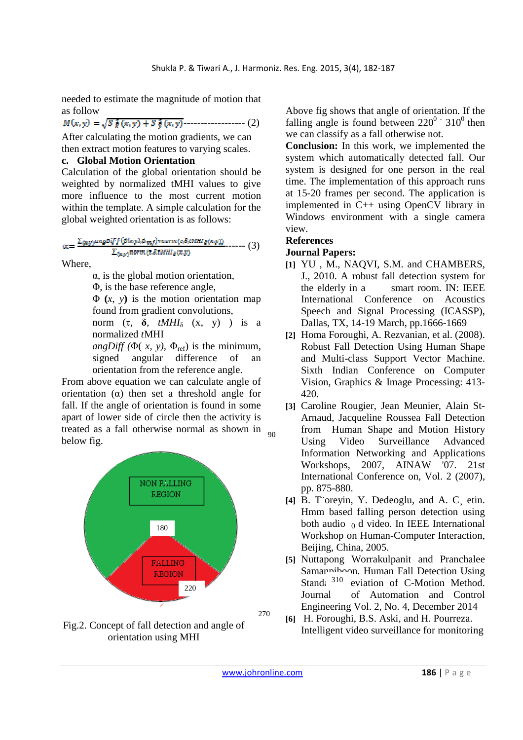needed to estimate the magnitude of motion that as follow

 $M(x,y) = \sqrt{5\frac{2}{\pi}(x,y) + 5\frac{2}{\pi}(x,y)}$ -------------------- (2)

After calculating the motion gradients, we can then extract motion features to varying scales.

### **c. Global Motion Orientation**

Calculation of the global orientation should be weighted by normalized tMHI values to give more influence to the most current motion within the template. A simple calculation for the global weighted orientation is as follows:

$$
\alpha = \frac{\sum_{(x,y)} \text{angularity} \left( \mathcal{O}(x,y), \theta_{mf} \right) \cdot \text{normal}(z, \mathcal{S}, t \text{MHz}(x,y))}{\sum_{(x,y)} \text{norm} \left( z, \mathcal{S}, t \text{MHz}(x,y) \right)} \dots \dots \tag{3}
$$

Where,

α, is the global motion orientation,

Φ, is the base reference angle,

Φ **(***x*, *y***)** is the motion orientation map found from gradient convolutions,

norm (τ, **δ**, *tMHI*δ (x, y) ) is a normalized *t*MHI

*angDiff* ( $\Phi(x, y)$ ,  $\Phi_{\text{ref}}$ ) is the minimum, signed angular difference of an orientation from the reference angle.

From above equation we can calculate angle of orientation  $\alpha$ ) then set a threshold angle for fall. If the angle of orientation is found in some apart of lower side of circle then the activity is treated as a fall otherwise normal as shown in  $_{90}$ below fig.



Fig.2. Concept of fall detection and angle of orientation using MHI

Above fig shows that angle of orientation. If the falling angle is found between  $220^0 \cdot 310^0$  then we can classify as a fall otherwise not.

**Conclusion:** In this work, we implemented the system which automatically detected fall. Our system is designed for one person in the real time. The implementation of this approach runs at 15-20 frames per second. The application is implemented in C++ using OpenCV library in Windows environment with a single camera view.

### **References**

### **Journal Papers:**

- **[1]** YU , M., NAQVI, S.M. and CHAMBERS, J., 2010. A robust fall detection system for the elderly in a smart room. IN: IEEE International Conference on Acoustics Speech and Signal Processing (ICASSP), Dallas, TX, 14-19 March, pp.1666-1669
- **[2]** Homa Foroughi, A. Rezvanian, et al. (2008). Robust Fall Detection Using Human Shape and Multi-class Support Vector Machine. Sixth Indian Conference on Computer Vision, Graphics & Image Processing: 413- 420.
- **[3]** Caroline Rougier, Jean Meunier, Alain St-Arnaud, Jacqueline Roussea Fall Detection from Human Shape and Motion History Using Video Surveillance Advanced Information Networking and Applications Workshops, 2007, AINAW '07. 21st International Conference on, Vol. 2 (2007), pp. 875-880.
- **[4]** B. T¨oreyin, Y. Dedeoglu, and A. C¸ etin. Hmm based falling person detection using both audio  $_0$  d video. In IEEE International Workshop on Human-Computer Interaction, Beijing, China, 2005.
- **[5]** Nuttapong Worrakulpanit and Pranchalee Samannihoon. Human Fall Detection Using Stand: 310 eviation of C-Motion Method. Journal of Automation and Control Engineering Vol. 2, No. 4, December 2014
- **[6]** H. Foroughi, B.S. Aski, and H. Pourreza. Intelligent video surveillance for monitoring

270